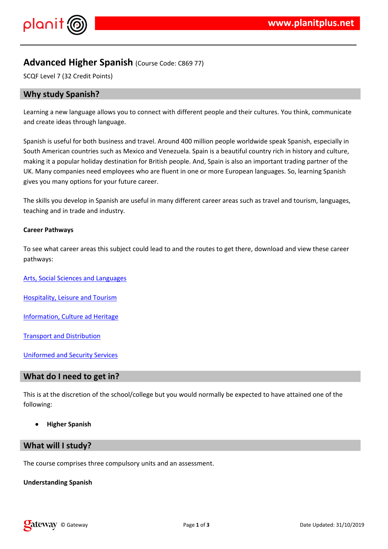$!$  " # \$ %  $\alpha$   $\alpha$   $\alpha$   $\beta$ 

# '&' ' % ' % % ('' ( & ) & ' % ' ) & ( % + )\*&', - ( . . ' & '<br>' ( & ) ) % ' \*

 $'8$  ) & % &'/') \$ % \* 01 '.& % % &' % & , (& % % ) 0. & (' (' & 2 3(& ( 4'' 5 % \* & & & ( ) & c ) & ., & ' & ' % ) & & & 6 & & )  $0'$  % \* & ' & .  $\sim 1000$  km s  $^{-1}$  $8'$  $7 * 2$  ( 8  $\cancel{0}$  % 8  $\cancel{0}$  8  $\cancel{0}$  8  $\cancel{0}$  8  $\cancel{0}$  8  $\cancel{0}$  8  $\cancel{0}$  8  $\cancel{0}$  8  $\cancel{0}$  8  $\cancel{0}$  8  $\cancel{0}$  8  $\cancel{0}$  9  $\cancel{0}$  8  $\cancel{0}$  9  $\cancel{0}$  8  $\cancel{0}$  9  $\cancel{0}$  8  $\cancel{0}$  9  $\cancel{0}$  9  $\cancel{0}$  9  $\cancel{0}$ 

9)  $3\%$   $8\%$   $8\%$   $8\%$   $9\%$   $9\%$   $1\%$   $1\%$   $1\%$   $1\%$   $1\%$   $1\%$   $1\%$   $1\%$   $1\%$   $1\%$   $1\%$   $1\%$   $1\%$   $1\%$   $1\%$   $1\%$   $1\%$   $1\%$   $1\%$   $1\%$   $1\%$   $1\%$   $1\%$   $1\%$   $1\%$   $1\%$   $1\%$   $1\%$   $1\%$   $1\%$   $1$ 

 $9 \qquad ) \qquad (\qquad 1:18 \qquad 9\% \qquad )$  $)$  - '% '\$& )  $\rightarrow$ 

 $0 - (\&8\%$  (  $\#$  '

 $\therefore$  8, % 8, -# 8, 8, '

 $\langle$  . &  $\cdot$  % ; &

 $9 \quad 1 \quad 2 \quad 3 \quad 8 \quad 8 \quad 8 \quad 8 \quad 1$ 

 $8$   $8$   $1$   $1$   $8$   $58$ 

 $9)$  &  $( )$  &  $( )$  () &  $\%$  (  $\%$  % /  $\%$  ' . % % ( ) \$ & ' ' .

9)  $($   $($   $.8)$   $($   $.96'8'$   $)$   $.1*$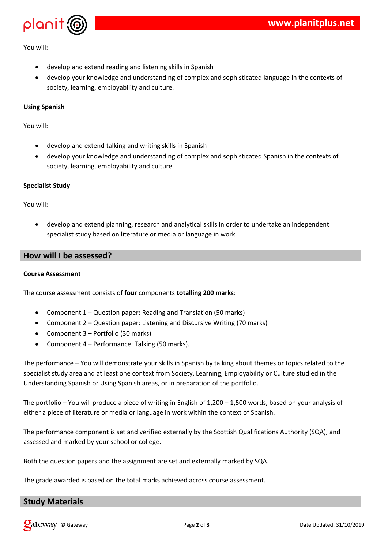

You will:

- develop and extend reading and listening skills in Spanish
- develop your knowledge and understanding of complex and sophisticated language in the contexts of society, learning, employability and culture.

### **Using Spanish**

You will:

- develop and extend talking and writing skills in Spanish
- develop your knowledge and understanding of complex and sophisticated Spanish in the contexts of society, learning, employability and culture.

#### **Specialist Study**

You will:

 develop and extend planning, research and analytical skills in order to undertake an independent specialist study based on literature or media or language in work.

## **How will I be assessed?**

#### **Course Assessment**

The course assessment consists of **four** components **totalling 200 marks**:

- Component 1 Question paper: Reading and Translation (50 marks)
- Component 2 Question paper: Listening and Discursive Writing (70 marks)
- Component 3 Portfolio (30 marks)
- Component 4 Performance: Talking (50 marks).

The performance – You will demonstrate your skills in Spanish by talking about themes or topics related to the specialist study area and at least one context from Society, Learning, Employability or Culture studied in the Understanding Spanish or Using Spanish areas, or in preparation of the portfolio.

The portfolio – You will produce a piece of writing in English of 1,200 – 1,500 words, based on your analysis of either a piece of literature or media or language in work within the context of Spanish.

The performance component is set and verified externally by the Scottish Qualifications Authority (SQA), and assessed and marked by your school or college.

Both the question papers and the assignment are set and externally marked by SQA.

The grade awarded is based on the total marks achieved across course assessment.

## **Study Materials**